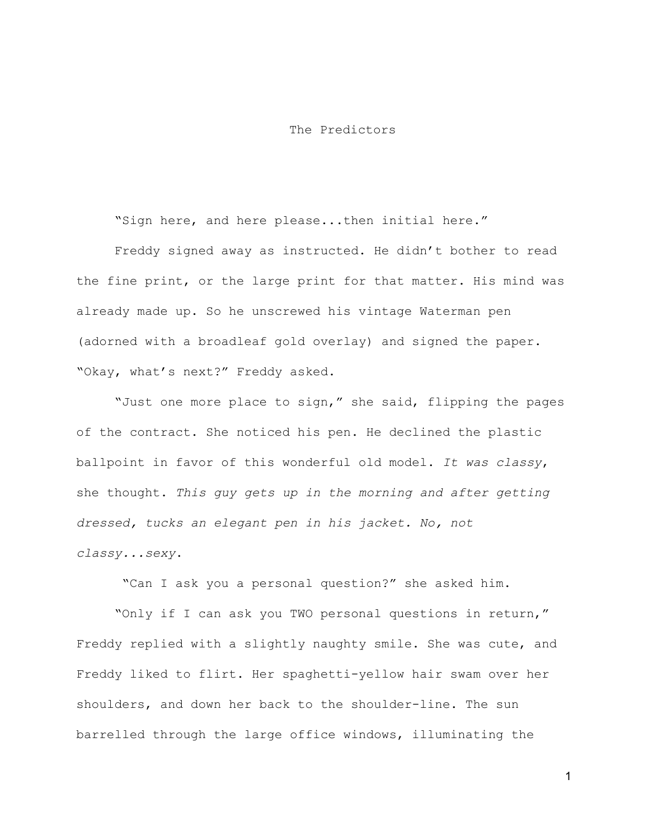## The Predictors

"Sign here, and here please...then initial here."

Freddy signed away as instructed. He didn't bother to read the fine print, or the large print for that matter. His mind was already made up. So he unscrewed his vintage Waterman pen (adorned with a broadleaf gold overlay) and signed the paper. "Okay, what's next?" Freddy asked.

"Just one more place to sign," she said, flipping the pages of the contract. She noticed his pen. He declined the plastic ballpoint in favor of this wonderful old model. *It was classy*, she thought. *This guy gets up in the morning and after getting dressed, tucks an elegant pen in his jacket. No, not classy...sexy*.

"Can I ask you a personal question?" she asked him.

"Only if I can ask you TWO personal questions in return," Freddy replied with a slightly naughty smile. She was cute, and Freddy liked to flirt. Her spaghetti-yellow hair swam over her shoulders, and down her back to the shoulder-line. The sun barrelled through the large office windows, illuminating the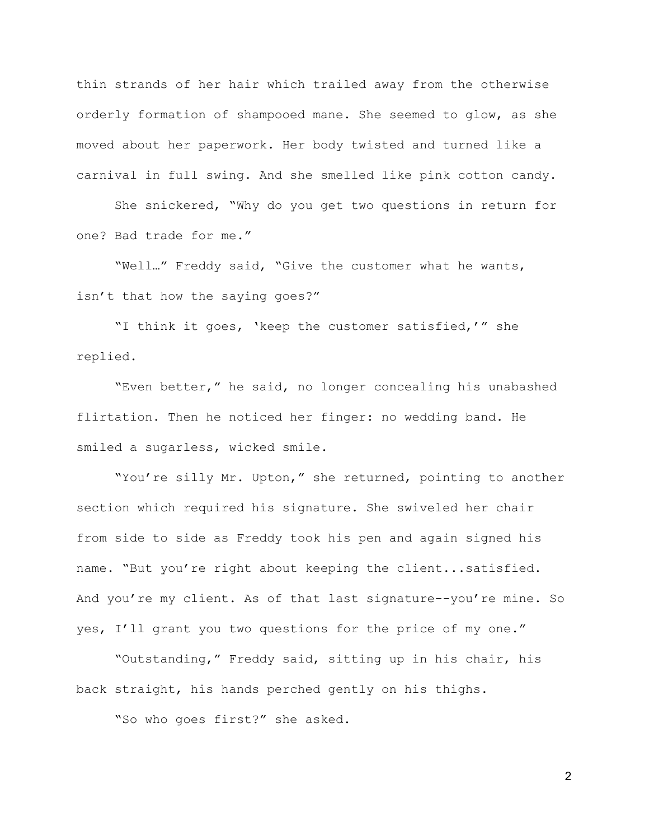thin strands of her hair which trailed away from the otherwise orderly formation of shampooed mane. She seemed to glow, as she moved about her paperwork. Her body twisted and turned like a carnival in full swing. And she smelled like pink cotton candy.

She snickered, "Why do you get two questions in return for one? Bad trade for me."

"Well…" Freddy said, "Give the customer what he wants, isn't that how the saying goes?"

"I think it goes, 'keep the customer satisfied,'" she replied.

"Even better," he said, no longer concealing his unabashed flirtation. Then he noticed her finger: no wedding band. He smiled a sugarless, wicked smile.

"You're silly Mr. Upton," she returned, pointing to another section which required his signature. She swiveled her chair from side to side as Freddy took his pen and again signed his name. "But you're right about keeping the client...satisfied. And you're my client. As of that last signature--you're mine. So yes, I'll grant you two questions for the price of my one."

"Outstanding," Freddy said, sitting up in his chair, his back straight, his hands perched gently on his thighs.

"So who goes first?" she asked.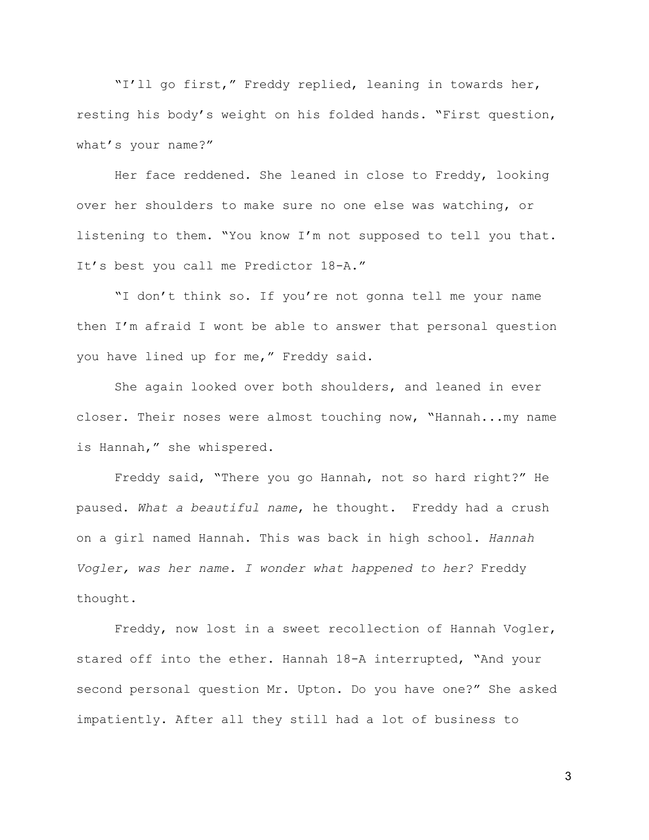"I'll go first," Freddy replied, leaning in towards her, resting his body's weight on his folded hands. "First question, what's your name?"

Her face reddened. She leaned in close to Freddy, looking over her shoulders to make sure no one else was watching, or listening to them. "You know I'm not supposed to tell you that. It's best you call me Predictor 18-A."

"I don't think so. If you're not gonna tell me your name then I'm afraid I wont be able to answer that personal question you have lined up for me," Freddy said.

She again looked over both shoulders, and leaned in ever closer. Their noses were almost touching now, "Hannah...my name is Hannah," she whispered.

Freddy said, "There you go Hannah, not so hard right?" He paused. *What a beautiful name*, he thought. Freddy had a crush on a girl named Hannah. This was back in high school. *Hannah Vogler, was her name. I wonder what happened to her?* Freddy thought.

Freddy, now lost in a sweet recollection of Hannah Vogler, stared off into the ether. Hannah 18-A interrupted, "And your second personal question Mr. Upton. Do you have one?" She asked impatiently. After all they still had a lot of business to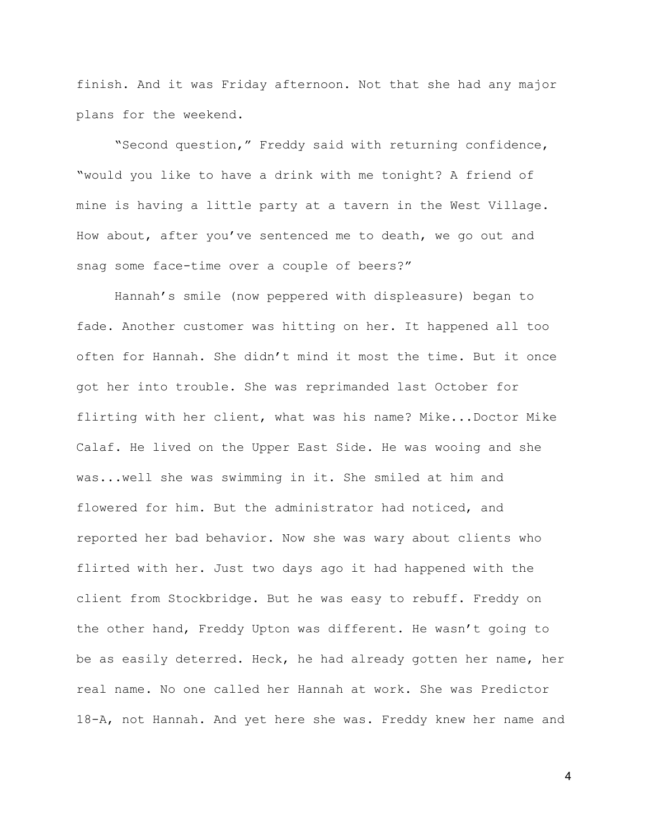finish. And it was Friday afternoon. Not that she had any major plans for the weekend.

"Second question," Freddy said with returning confidence, "would you like to have a drink with me tonight? A friend of mine is having a little party at a tavern in the West Village. How about, after you've sentenced me to death, we go out and snag some face-time over a couple of beers?"

Hannah's smile (now peppered with displeasure) began to fade. Another customer was hitting on her. It happened all too often for Hannah. She didn't mind it most the time. But it once got her into trouble. She was reprimanded last October for flirting with her client, what was his name? Mike...Doctor Mike Calaf. He lived on the Upper East Side. He was wooing and she was...well she was swimming in it. She smiled at him and flowered for him. But the administrator had noticed, and reported her bad behavior. Now she was wary about clients who flirted with her. Just two days ago it had happened with the client from Stockbridge. But he was easy to rebuff. Freddy on the other hand, Freddy Upton was different. He wasn't going to be as easily deterred. Heck, he had already gotten her name, her real name. No one called her Hannah at work. She was Predictor 18-A, not Hannah. And yet here she was. Freddy knew her name and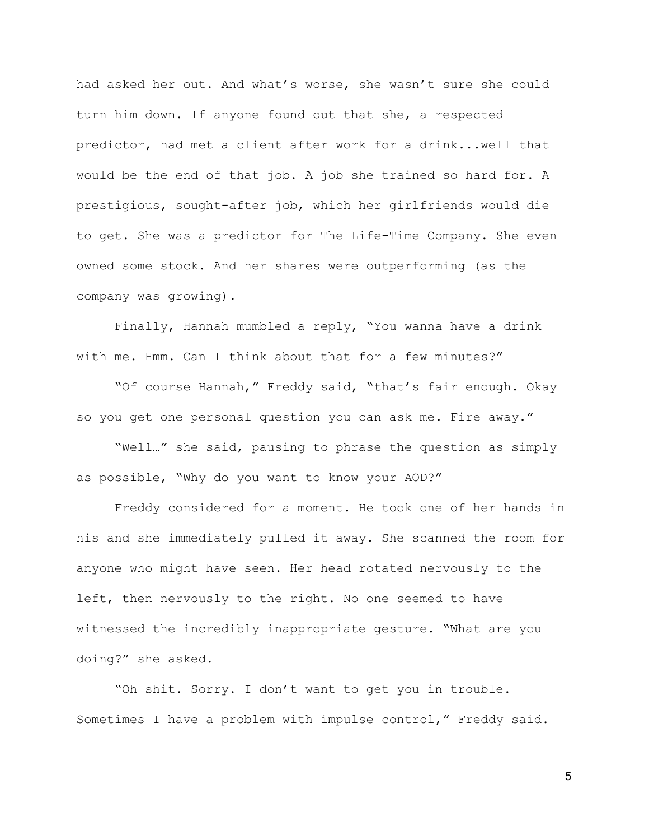had asked her out. And what's worse, she wasn't sure she could turn him down. If anyone found out that she, a respected predictor, had met a client after work for a drink...well that would be the end of that job. A job she trained so hard for. A prestigious, sought-after job, which her girlfriends would die to get. She was a predictor for The Life-Time Company. She even owned some stock. And her shares were outperforming (as the company was growing).

Finally, Hannah mumbled a reply, "You wanna have a drink with me. Hmm. Can I think about that for a few minutes?"

"Of course Hannah," Freddy said, "that's fair enough. Okay so you get one personal question you can ask me. Fire away."

"Well…" she said, pausing to phrase the question as simply as possible, "Why do you want to know your AOD?"

Freddy considered for a moment. He took one of her hands in his and she immediately pulled it away. She scanned the room for anyone who might have seen. Her head rotated nervously to the left, then nervously to the right. No one seemed to have witnessed the incredibly inappropriate gesture. "What are you doing?" she asked.

"Oh shit. Sorry. I don't want to get you in trouble. Sometimes I have a problem with impulse control," Freddy said.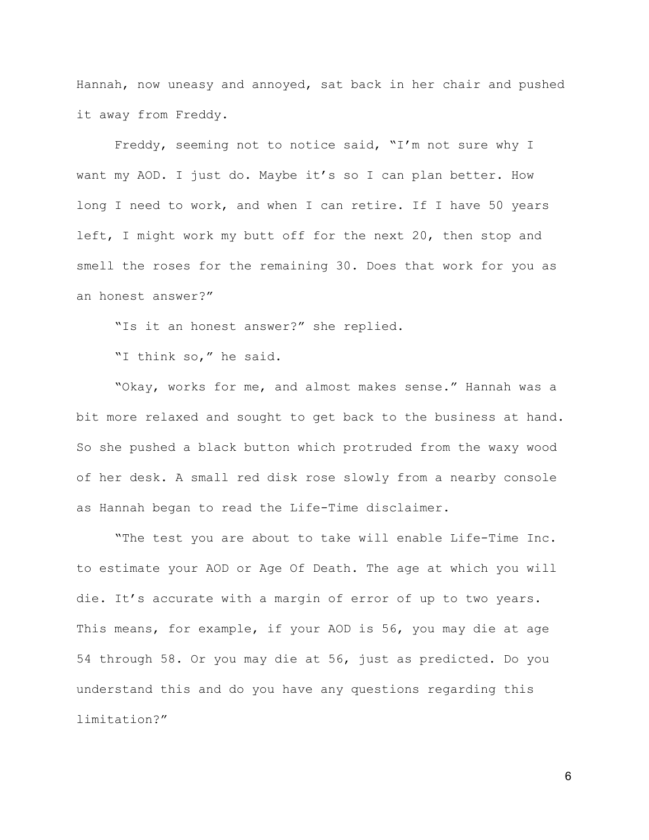Hannah, now uneasy and annoyed, sat back in her chair and pushed it away from Freddy.

Freddy, seeming not to notice said, "I'm not sure why I want my AOD. I just do. Maybe it's so I can plan better. How long I need to work, and when I can retire. If I have 50 years left, I might work my butt off for the next 20, then stop and smell the roses for the remaining 30. Does that work for you as an honest answer?"

"Is it an honest answer?" she replied.

"I think so," he said.

"Okay, works for me, and almost makes sense." Hannah was a bit more relaxed and sought to get back to the business at hand. So she pushed a black button which protruded from the waxy wood of her desk. A small red disk rose slowly from a nearby console as Hannah began to read the Life-Time disclaimer.

"The test you are about to take will enable Life-Time Inc. to estimate your AOD or Age Of Death. The age at which you will die. It's accurate with a margin of error of up to two years. This means, for example, if your AOD is 56, you may die at age 54 through 58. Or you may die at 56, just as predicted. Do you understand this and do you have any questions regarding this limitation?"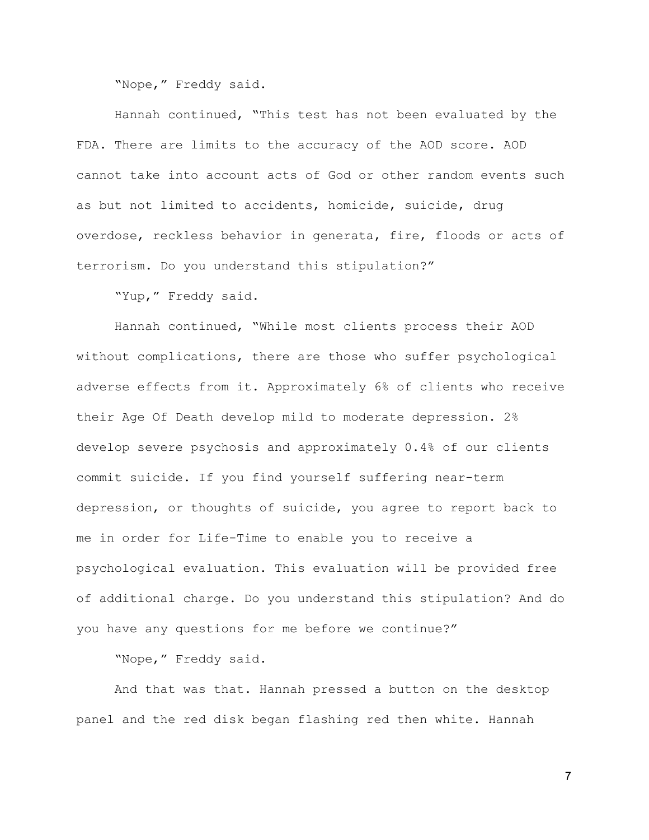"Nope," Freddy said.

Hannah continued, "This test has not been evaluated by the FDA. There are limits to the accuracy of the AOD score. AOD cannot take into account acts of God or other random events such as but not limited to accidents, homicide, suicide, drug overdose, reckless behavior in generata, fire, floods or acts of terrorism. Do you understand this stipulation?"

"Yup," Freddy said.

Hannah continued, "While most clients process their AOD without complications, there are those who suffer psychological adverse effects from it. Approximately 6% of clients who receive their Age Of Death develop mild to moderate depression. 2% develop severe psychosis and approximately 0.4% of our clients commit suicide. If you find yourself suffering near-term depression, or thoughts of suicide, you agree to report back to me in order for Life-Time to enable you to receive a psychological evaluation. This evaluation will be provided free of additional charge. Do you understand this stipulation? And do you have any questions for me before we continue?"

"Nope," Freddy said.

And that was that. Hannah pressed a button on the desktop panel and the red disk began flashing red then white. Hannah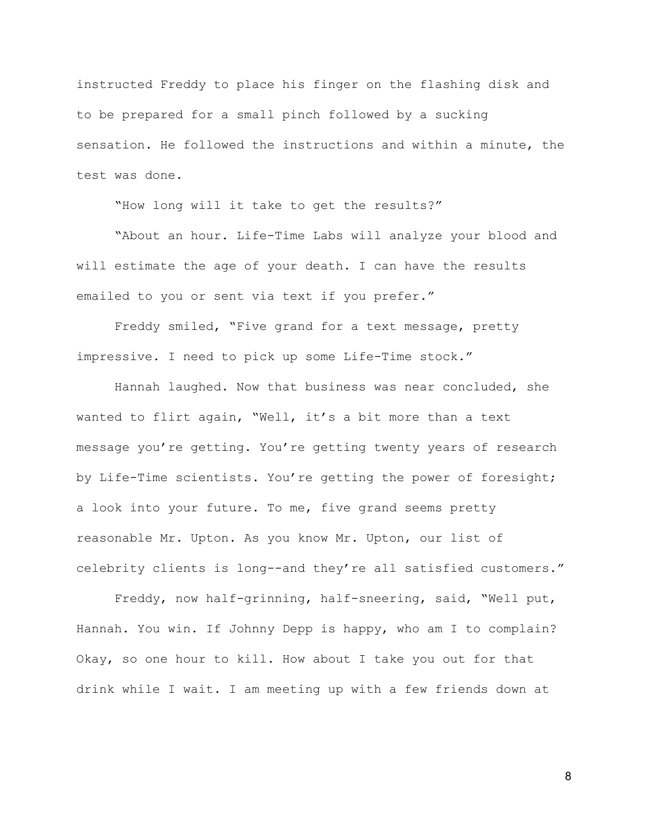instructed Freddy to place his finger on the flashing disk and to be prepared for a small pinch followed by a sucking sensation. He followed the instructions and within a minute, the test was done.

"How long will it take to get the results?"

"About an hour. Life-Time Labs will analyze your blood and will estimate the age of your death. I can have the results emailed to you or sent via text if you prefer."

Freddy smiled, "Five grand for a text message, pretty impressive. I need to pick up some Life-Time stock."

Hannah laughed. Now that business was near concluded, she wanted to flirt again, "Well, it's a bit more than a text message you're getting. You're getting twenty years of research by Life-Time scientists. You're getting the power of foresight; a look into your future. To me, five grand seems pretty reasonable Mr. Upton. As you know Mr. Upton, our list of celebrity clients is long--and they're all satisfied customers."

Freddy, now half-grinning, half-sneering, said, "Well put, Hannah. You win. If Johnny Depp is happy, who am I to complain? Okay, so one hour to kill. How about I take you out for that drink while I wait. I am meeting up with a few friends down at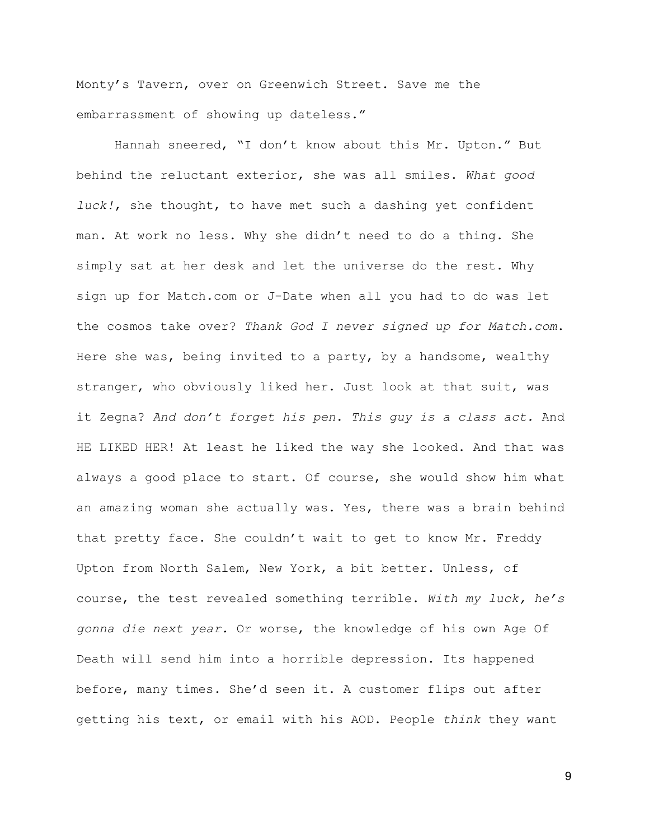Monty's Tavern, over on Greenwich Street. Save me the embarrassment of showing up dateless."

Hannah sneered, "I don't know about this Mr. Upton." But behind the reluctant exterior, she was all smiles. *What good luck!*, she thought, to have met such a dashing yet confident man. At work no less. Why she didn't need to do a thing. She simply sat at her desk and let the universe do the rest. Why sign up for Match.com or J-Date when all you had to do was let the cosmos take over? *Thank God I never signed up for Match.com*. Here she was, being invited to a party, by a handsome, wealthy stranger, who obviously liked her. Just look at that suit, was it Zegna? *And don't forget his pen*. *This guy is a class act.* And HE LIKED HER! At least he liked the way she looked. And that was always a good place to start. Of course, she would show him what an amazing woman she actually was. Yes, there was a brain behind that pretty face. She couldn't wait to get to know Mr. Freddy Upton from North Salem, New York, a bit better. Unless, of course, the test revealed something terrible. *With my luck, he's gonna die next year.* Or worse, the knowledge of his own Age Of Death will send him into a horrible depression. Its happened before, many times. She'd seen it. A customer flips out after getting his text, or email with his AOD. People *think* they want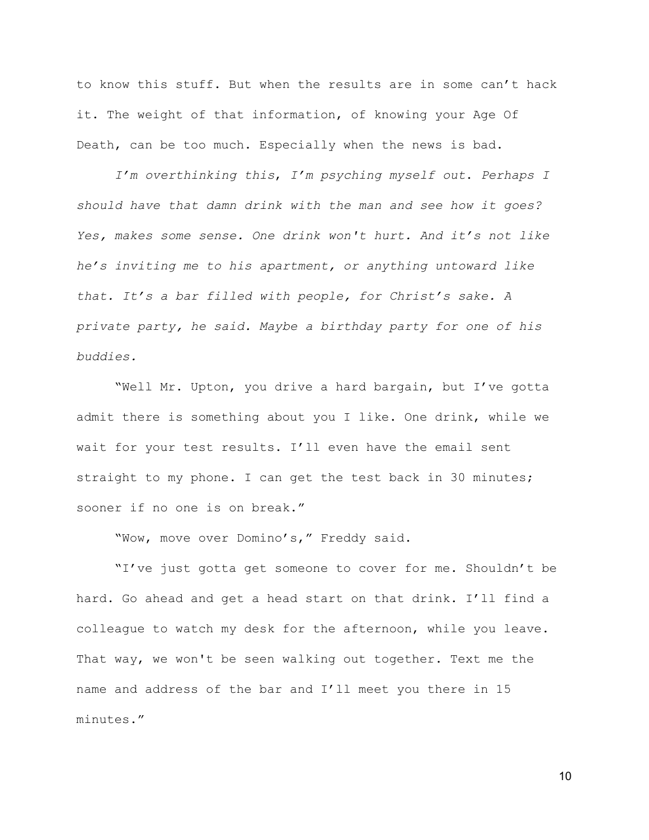to know this stuff. But when the results are in some can't hack it. The weight of that information, of knowing your Age Of Death, can be too much. Especially when the news is bad.

*I'm overthinking this*, *I'm psyching myself out*. *Perhaps I should have that damn drink with the man and see how it goes? Yes, makes some sense. One drink won't hurt. And it's not like he's inviting me to his apartment, or anything untoward like that. It's a bar filled with people, for Christ's sake. A private party, he said. Maybe a birthday party for one of his buddies.*

"Well Mr. Upton, you drive a hard bargain, but I've gotta admit there is something about you I like. One drink, while we wait for your test results. I'll even have the email sent straight to my phone. I can get the test back in 30 minutes; sooner if no one is on break."

"Wow, move over Domino's," Freddy said.

"I've just gotta get someone to cover for me. Shouldn't be hard. Go ahead and get a head start on that drink. I'll find a colleague to watch my desk for the afternoon, while you leave. That way, we won't be seen walking out together. Text me the name and address of the bar and I'll meet you there in 15 minutes."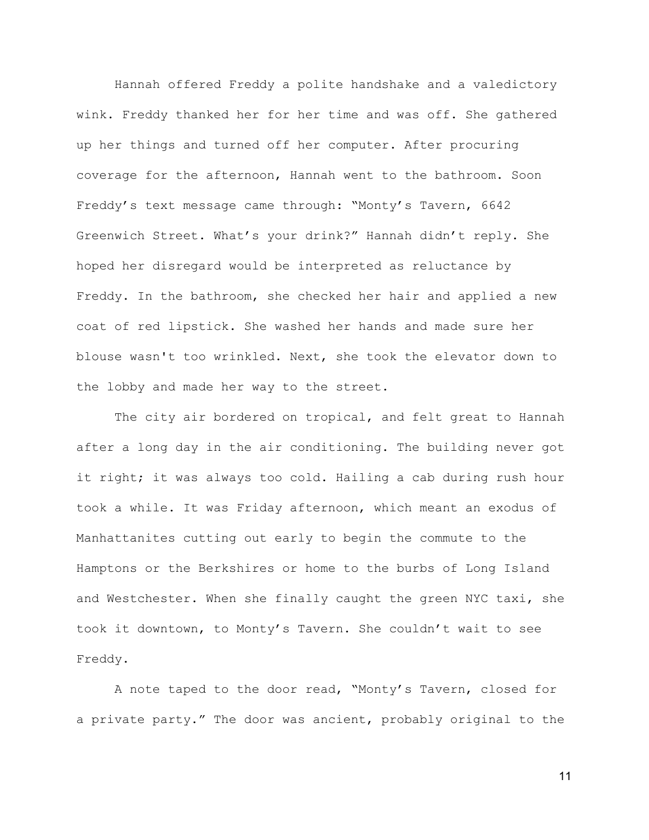Hannah offered Freddy a polite handshake and a valedictory wink. Freddy thanked her for her time and was off. She gathered up her things and turned off her computer. After procuring coverage for the afternoon, Hannah went to the bathroom. Soon Freddy's text message came through: "Monty's Tavern, 6642 Greenwich Street. What's your drink?" Hannah didn't reply. She hoped her disregard would be interpreted as reluctance by Freddy. In the bathroom, she checked her hair and applied a new coat of red lipstick. She washed her hands and made sure her blouse wasn't too wrinkled. Next, she took the elevator down to the lobby and made her way to the street.

The city air bordered on tropical, and felt great to Hannah after a long day in the air conditioning. The building never got it right; it was always too cold. Hailing a cab during rush hour took a while. It was Friday afternoon, which meant an exodus of Manhattanites cutting out early to begin the commute to the Hamptons or the Berkshires or home to the burbs of Long Island and Westchester. When she finally caught the green NYC taxi, she took it downtown, to Monty's Tavern. She couldn't wait to see Freddy.

A note taped to the door read, "Monty's Tavern, closed for a private party." The door was ancient, probably original to the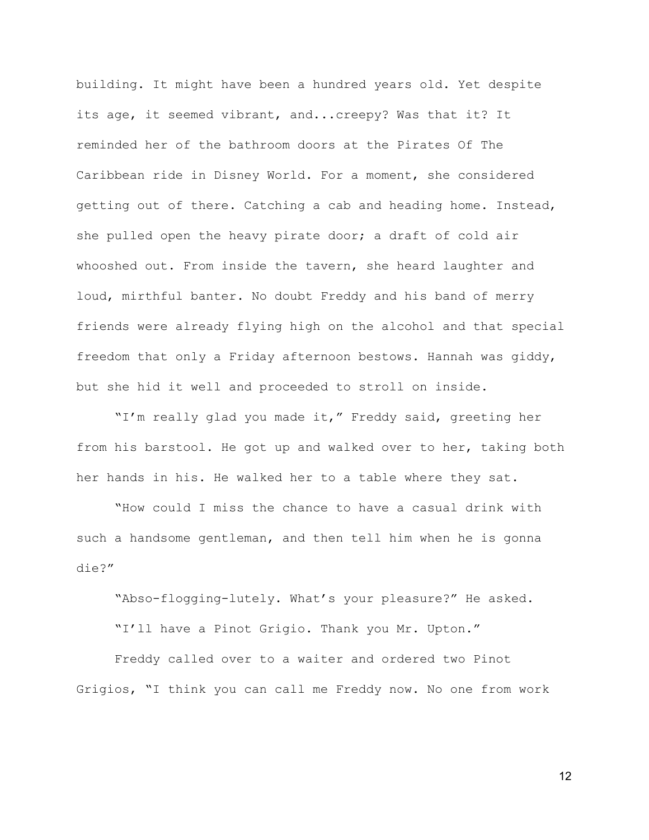building. It might have been a hundred years old. Yet despite its age, it seemed vibrant, and...creepy? Was that it? It reminded her of the bathroom doors at the Pirates Of The Caribbean ride in Disney World. For a moment, she considered getting out of there. Catching a cab and heading home. Instead, she pulled open the heavy pirate door; a draft of cold air whooshed out. From inside the tavern, she heard laughter and loud, mirthful banter. No doubt Freddy and his band of merry friends were already flying high on the alcohol and that special freedom that only a Friday afternoon bestows. Hannah was giddy, but she hid it well and proceeded to stroll on inside.

"I'm really glad you made it," Freddy said, greeting her from his barstool. He got up and walked over to her, taking both her hands in his. He walked her to a table where they sat.

"How could I miss the chance to have a casual drink with such a handsome gentleman, and then tell him when he is gonna die?"

"Abso-flogging-lutely. What's your pleasure?" He asked.

"I'll have a Pinot Grigio. Thank you Mr. Upton."

Freddy called over to a waiter and ordered two Pinot Grigios, "I think you can call me Freddy now. No one from work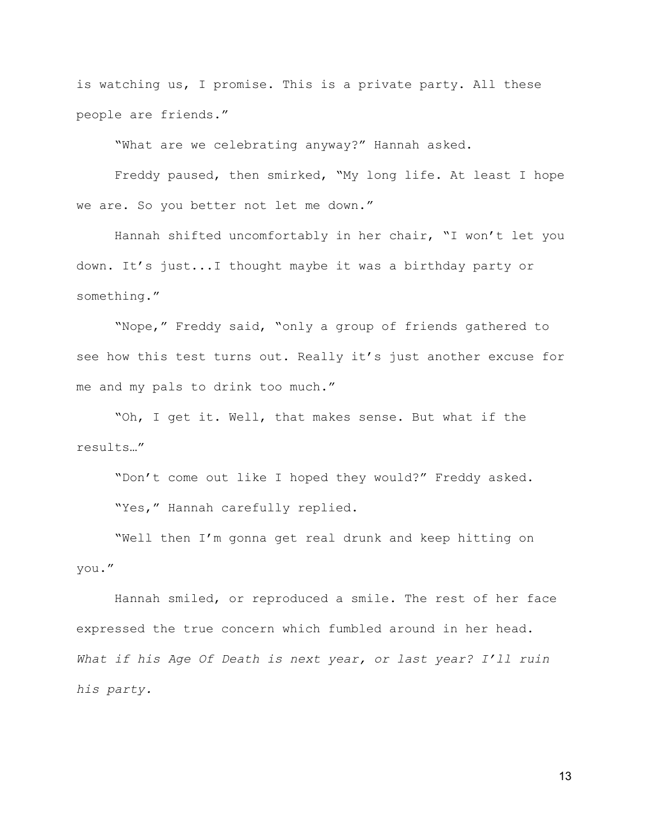is watching us, I promise. This is a private party. All these people are friends."

"What are we celebrating anyway?" Hannah asked.

Freddy paused, then smirked, "My long life. At least I hope we are. So you better not let me down."

Hannah shifted uncomfortably in her chair, "I won't let you down. It's just...I thought maybe it was a birthday party or something."

"Nope," Freddy said, "only a group of friends gathered to see how this test turns out. Really it's just another excuse for me and my pals to drink too much."

"Oh, I get it. Well, that makes sense. But what if the results…"

"Don't come out like I hoped they would?" Freddy asked. "Yes," Hannah carefully replied.

"Well then I'm gonna get real drunk and keep hitting on you."

Hannah smiled, or reproduced a smile. The rest of her face expressed the true concern which fumbled around in her head. *What if his Age Of Death is next year, or last year? I'll ruin his party.*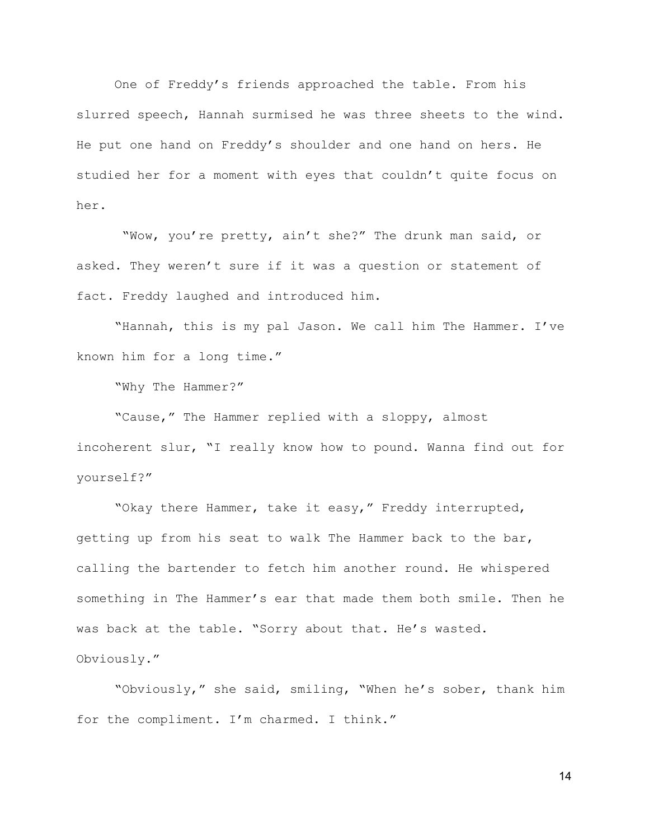One of Freddy's friends approached the table. From his slurred speech, Hannah surmised he was three sheets to the wind. He put one hand on Freddy's shoulder and one hand on hers. He studied her for a moment with eyes that couldn't quite focus on her.

 "Wow, you're pretty, ain't she?" The drunk man said, or asked. They weren't sure if it was a question or statement of fact. Freddy laughed and introduced him.

"Hannah, this is my pal Jason. We call him The Hammer. I've known him for a long time."

"Why The Hammer?"

"Cause," The Hammer replied with a sloppy, almost incoherent slur, "I really know how to pound. Wanna find out for yourself?"

"Okay there Hammer, take it easy," Freddy interrupted, getting up from his seat to walk The Hammer back to the bar, calling the bartender to fetch him another round. He whispered something in The Hammer's ear that made them both smile. Then he was back at the table. "Sorry about that. He's wasted. Obviously."

"Obviously," she said, smiling, "When he's sober, thank him for the compliment. I'm charmed. I think."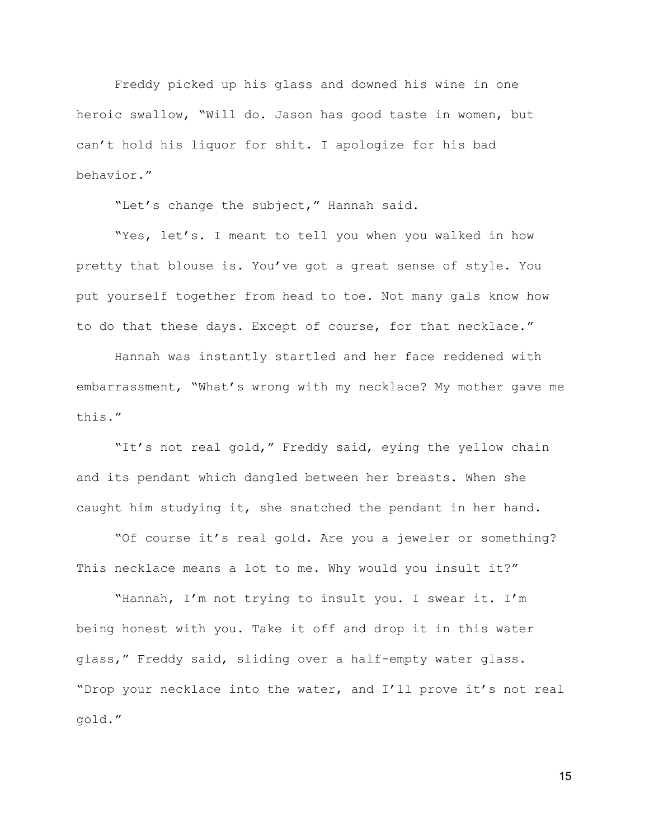Freddy picked up his glass and downed his wine in one heroic swallow, "Will do. Jason has good taste in women, but can't hold his liquor for shit. I apologize for his bad behavior."

"Let's change the subject," Hannah said.

"Yes, let's. I meant to tell you when you walked in how pretty that blouse is. You've got a great sense of style. You put yourself together from head to toe. Not many gals know how to do that these days. Except of course, for that necklace."

Hannah was instantly startled and her face reddened with embarrassment, "What's wrong with my necklace? My mother gave me this."

"It's not real gold," Freddy said, eying the yellow chain and its pendant which dangled between her breasts. When she caught him studying it, she snatched the pendant in her hand.

"Of course it's real gold. Are you a jeweler or something? This necklace means a lot to me. Why would you insult it?"

"Hannah, I'm not trying to insult you. I swear it. I'm being honest with you. Take it off and drop it in this water glass," Freddy said, sliding over a half-empty water glass. "Drop your necklace into the water, and I'll prove it's not real gold."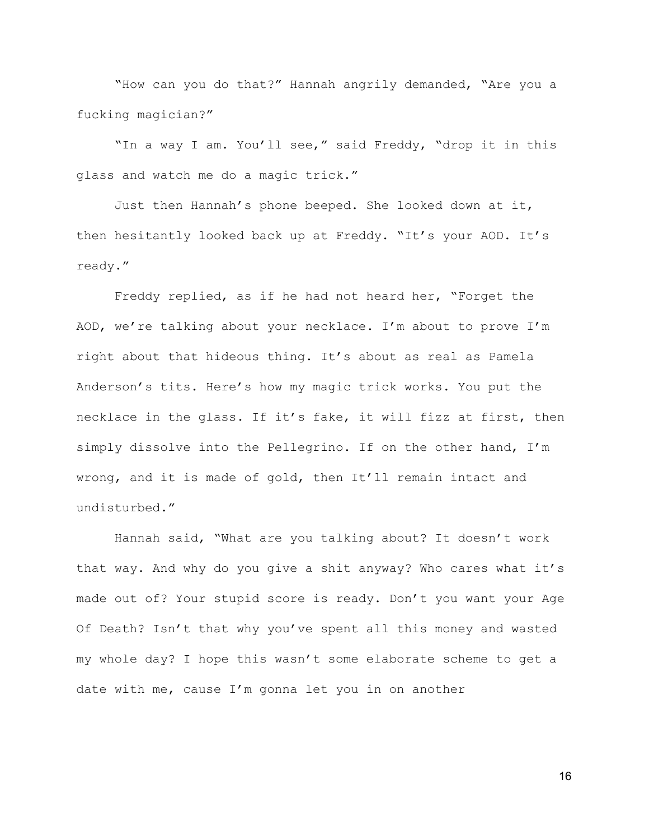"How can you do that?" Hannah angrily demanded, "Are you a fucking magician?"

"In a way I am. You'll see," said Freddy, "drop it in this glass and watch me do a magic trick."

Just then Hannah's phone beeped. She looked down at it, then hesitantly looked back up at Freddy. "It's your AOD. It's ready."

Freddy replied, as if he had not heard her, "Forget the AOD, we're talking about your necklace. I'm about to prove I'm right about that hideous thing. It's about as real as Pamela Anderson's tits. Here's how my magic trick works. You put the necklace in the glass. If it's fake, it will fizz at first, then simply dissolve into the Pellegrino. If on the other hand, I'm wrong, and it is made of gold, then It'll remain intact and undisturbed."

Hannah said, "What are you talking about? It doesn't work that way. And why do you give a shit anyway? Who cares what it's made out of? Your stupid score is ready. Don't you want your Age Of Death? Isn't that why you've spent all this money and wasted my whole day? I hope this wasn't some elaborate scheme to get a date with me, cause I'm gonna let you in on another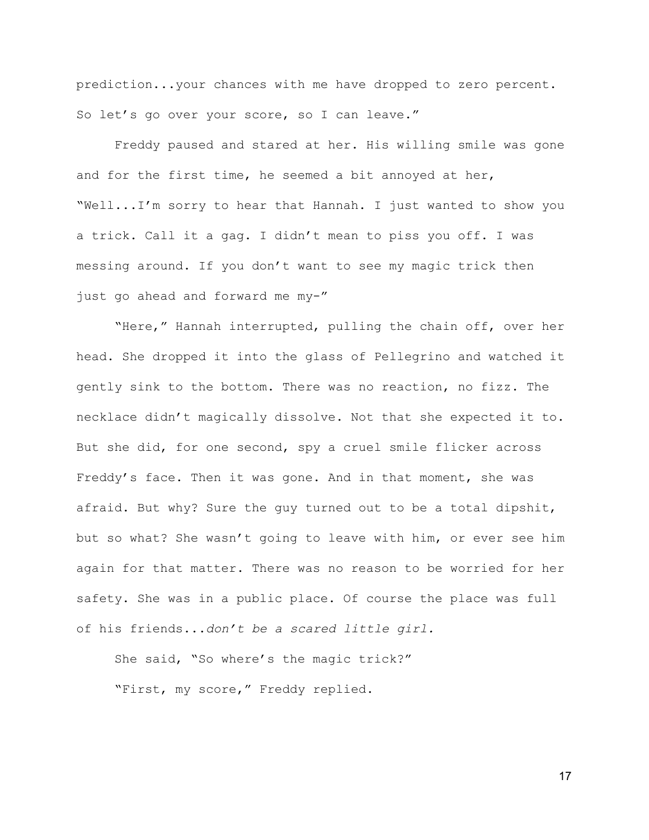prediction...your chances with me have dropped to zero percent. So let's go over your score, so I can leave."

Freddy paused and stared at her. His willing smile was gone and for the first time, he seemed a bit annoyed at her, "Well...I'm sorry to hear that Hannah. I just wanted to show you a trick. Call it a gag. I didn't mean to piss you off. I was messing around. If you don't want to see my magic trick then just go ahead and forward me my-"

"Here," Hannah interrupted, pulling the chain off, over her head. She dropped it into the glass of Pellegrino and watched it gently sink to the bottom. There was no reaction, no fizz. The necklace didn't magically dissolve. Not that she expected it to. But she did, for one second, spy a cruel smile flicker across Freddy's face. Then it was gone. And in that moment, she was afraid. But why? Sure the guy turned out to be a total dipshit, but so what? She wasn't going to leave with him, or ever see him again for that matter. There was no reason to be worried for her safety. She was in a public place. Of course the place was full of his friends...*don't be a scared little girl.*

She said, "So where's the magic trick?" "First, my score," Freddy replied.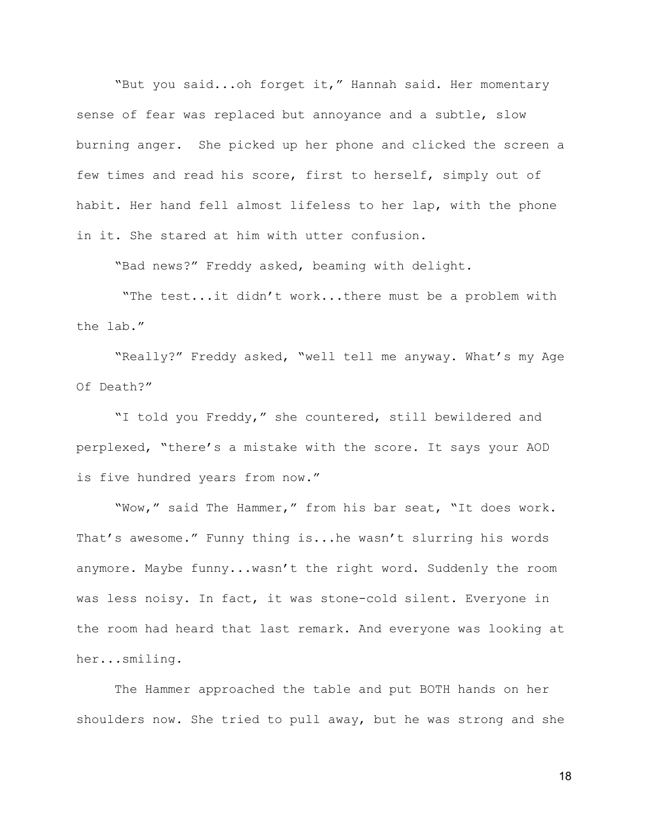"But you said...oh forget it," Hannah said. Her momentary sense of fear was replaced but annoyance and a subtle, slow burning anger. She picked up her phone and clicked the screen a few times and read his score, first to herself, simply out of habit. Her hand fell almost lifeless to her lap, with the phone in it. She stared at him with utter confusion.

"Bad news?" Freddy asked, beaming with delight.

 "The test...it didn't work...there must be a problem with the lab."

"Really?" Freddy asked, "well tell me anyway. What's my Age Of Death?"

"I told you Freddy," she countered, still bewildered and perplexed, "there's a mistake with the score. It says your AOD is five hundred years from now."

"Wow," said The Hammer," from his bar seat, "It does work. That's awesome." Funny thing is...he wasn't slurring his words anymore. Maybe funny...wasn't the right word. Suddenly the room was less noisy. In fact, it was stone-cold silent. Everyone in the room had heard that last remark. And everyone was looking at her...smiling.

The Hammer approached the table and put BOTH hands on her shoulders now. She tried to pull away, but he was strong and she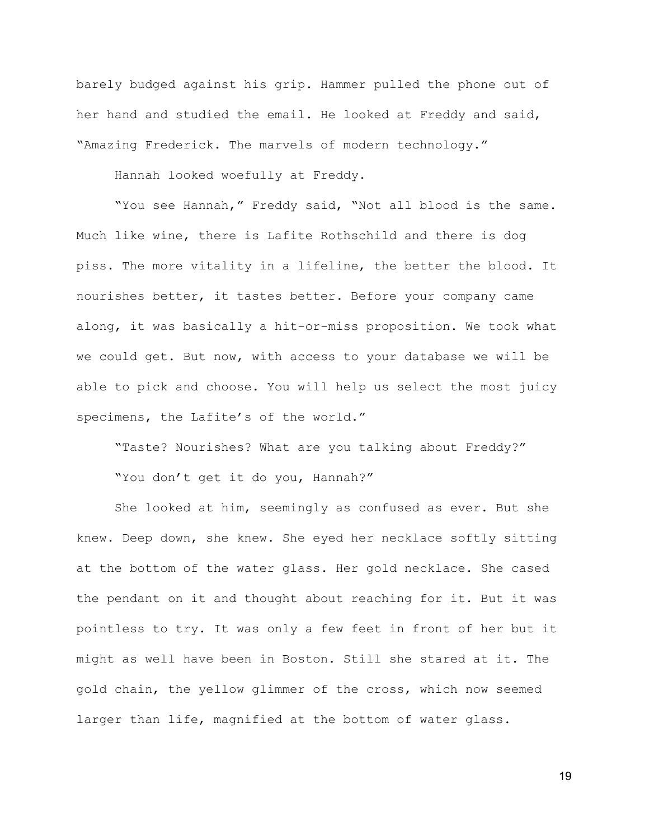barely budged against his grip. Hammer pulled the phone out of her hand and studied the email. He looked at Freddy and said, "Amazing Frederick. The marvels of modern technology."

Hannah looked woefully at Freddy.

"You see Hannah," Freddy said, "Not all blood is the same. Much like wine, there is Lafite Rothschild and there is dog piss. The more vitality in a lifeline, the better the blood. It nourishes better, it tastes better. Before your company came along, it was basically a hit-or-miss proposition. We took what we could get. But now, with access to your database we will be able to pick and choose. You will help us select the most juicy specimens, the Lafite's of the world."

"Taste? Nourishes? What are you talking about Freddy?" "You don't get it do you, Hannah?"

She looked at him, seemingly as confused as ever. But she knew. Deep down, she knew. She eyed her necklace softly sitting at the bottom of the water glass. Her gold necklace. She cased the pendant on it and thought about reaching for it. But it was pointless to try. It was only a few feet in front of her but it might as well have been in Boston. Still she stared at it. The gold chain, the yellow glimmer of the cross, which now seemed larger than life, magnified at the bottom of water glass.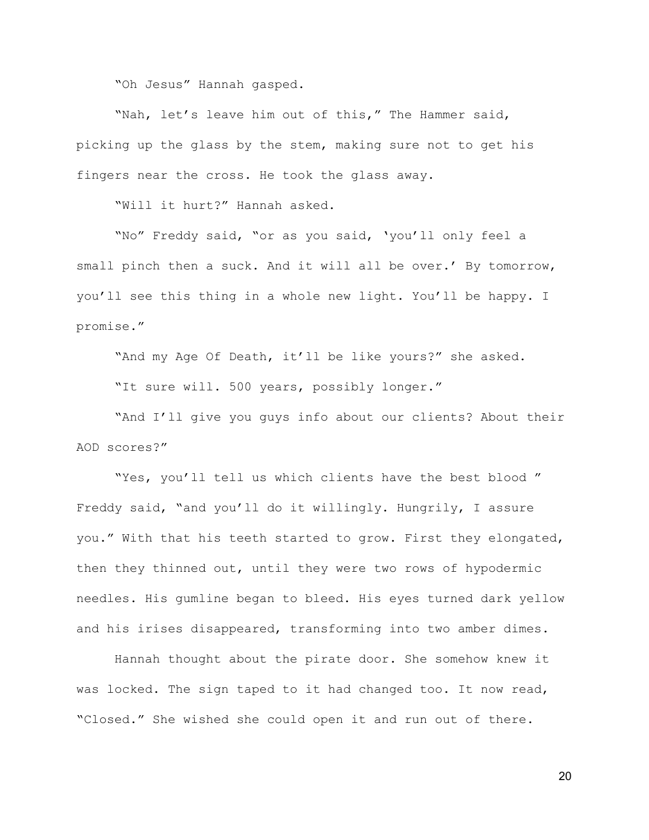"Oh Jesus" Hannah gasped.

"Nah, let's leave him out of this," The Hammer said, picking up the glass by the stem, making sure not to get his fingers near the cross. He took the glass away.

"Will it hurt?" Hannah asked.

"No" Freddy said, "or as you said, 'you'll only feel a small pinch then a suck. And it will all be over.' By tomorrow, you'll see this thing in a whole new light. You'll be happy. I promise."

"And my Age Of Death, it'll be like yours?" she asked.

"It sure will. 500 years, possibly longer."

"And I'll give you guys info about our clients? About their AOD scores?"

"Yes, you'll tell us which clients have the best blood " Freddy said, "and you'll do it willingly. Hungrily, I assure you." With that his teeth started to grow. First they elongated, then they thinned out, until they were two rows of hypodermic needles. His gumline began to bleed. His eyes turned dark yellow and his irises disappeared, transforming into two amber dimes.

Hannah thought about the pirate door. She somehow knew it was locked. The sign taped to it had changed too. It now read, "Closed." She wished she could open it and run out of there.